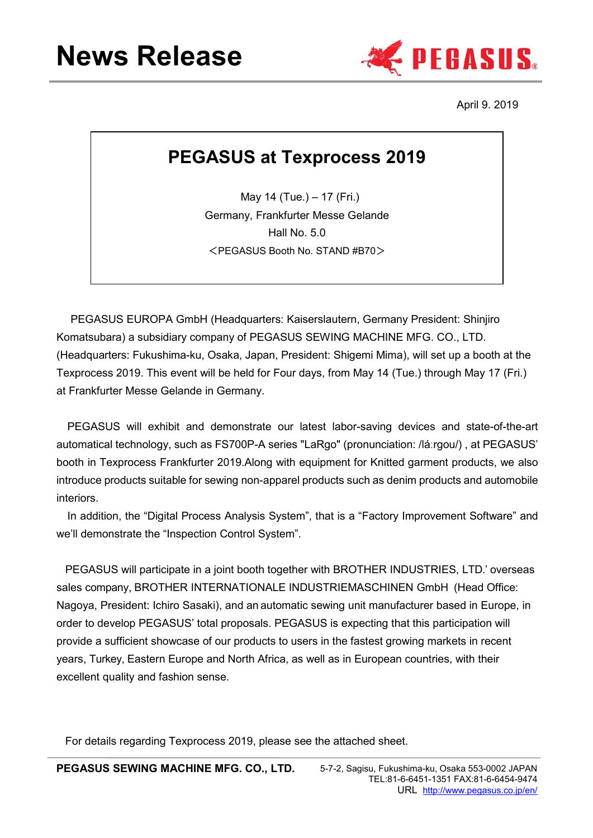

April 9. 2019

## **PEGASUS at Texprocess 2019**

May 14 (Tue.) – 17 (Fri.) Germany, Frankfurter Messe Gelande Hall No. 5.0 <PEGASUS Booth No. STAND #B70>

PEGASUS EUROPA GmbH (Headquarters: Kaiserslautern, Germany President: Shinjiro Komatsubara) a subsidiary company of PEGASUS SEWING MACHINE MFG. CO., LTD. (Headquarters: Fukushima-ku, Osaka, Japan, President: Shigemi Mima), will set up a booth at the Texprocess 2019. This event will be held for Four days, from May 14 (Tue.) through May 17 (Fri.) at Frankfurter Messe Gelande in Germany.

PEGASUS will exhibit and demonstrate our latest labor-saving devices and state-of-the-art automatical technology, such as FS700P-A series "LaRgo" (pronunciation: /láːrgou/) , at PEGASUS' booth in Texprocess Frankfurter 2019.Along with equipment for Knitted garment products, we also introduce products suitable for sewing non-apparel products such as denim products and automobile interiors.

In addition, the "Digital Process Analysis System", that is a "Factory Improvement Software" and we'll demonstrate the "Inspection Control System".

PEGASUS will participate in a joint booth together with BROTHER INDUSTRIES, LTD.' overseas sales company, BROTHER INTERNATIONALE INDUSTRIEMASCHINEN GmbH (Head Office: Nagoya, President: Ichiro Sasaki), and an automatic sewing unit manufacturer based in Europe, in order to develop PEGASUS' total proposals. PEGASUS is expecting that this participation will provide a sufficient showcase of our products to users in the fastest growing markets in recent years, Turkey, Eastern Europe and North Africa, as well as in European countries, with their excellent quality and fashion sense.

For details regarding Texprocess 2019, please see the attached sheet.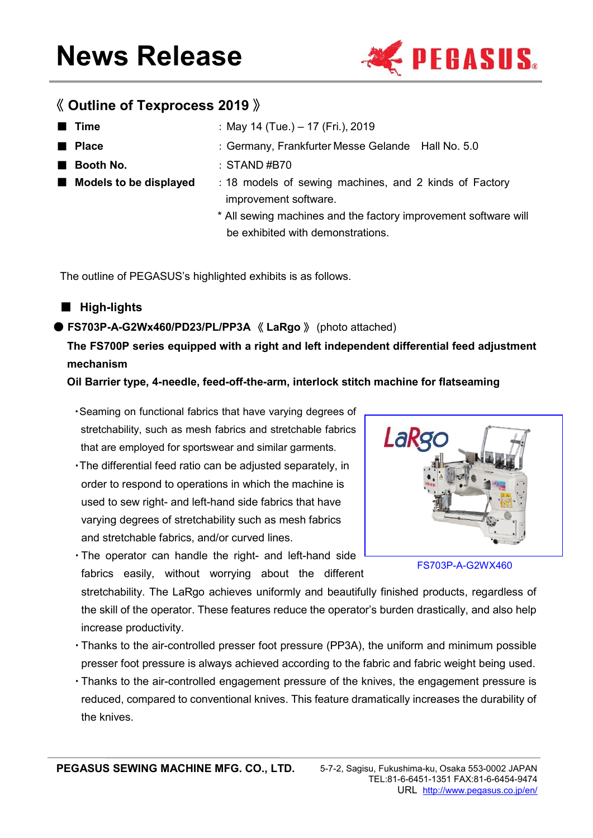

#### 《 **Outline of Texprocess 2019** 》

| ■ Time                 | : May 14 (Tue.) – 17 (Fri.), 2019                               |  |
|------------------------|-----------------------------------------------------------------|--|
| <b>Place</b>           | : Germany, Frankfurter Messe Gelande Hall No. 5.0               |  |
| <b>Booth No.</b>       | : STAND #B70                                                    |  |
| Models to be displayed | : 18 models of sewing machines, and 2 kinds of Factory          |  |
|                        | improvement software.                                           |  |
|                        | * All sewing machines and the factory improvement software will |  |
|                        | be exhibited with demonstrations.                               |  |

The outline of PEGASUS's highlighted exhibits is as follows.

#### ■ **High-lights**

#### ● **FS703P-A-G2Wx460/PD23/PL/PP3A** 《 **LaRgo** 》 (photo attached)

### **The FS700P series equipped with a right and left independent differential feed adjustment mechanism**

#### **Oil Barrier type, 4-needle, feed-off-the-arm, interlock stitch machine for flatseaming**

- ・Seaming on functional fabrics that have varying degrees of stretchability, such as mesh fabrics and stretchable fabrics that are employed for sportswear and similar garments.
- ・The differential feed ratio can be adjusted separately, in order to respond to operations in which the machine is used to sew right- and left-hand side fabrics that have varying degrees of stretchability such as mesh fabrics and stretchable fabrics, and/or curved lines.
- ・The operator can handle the right- and left-hand side fabrics easily, without worrying about the different



FS703P-A-G2WX460

stretchability. The LaRgo achieves uniformly and beautifully finished products, regardless of the skill of the operator. These features reduce the operator's burden drastically, and also help increase productivity.

- ・Thanks to the air-controlled presser foot pressure (PP3A), the uniform and minimum possible presser foot pressure is always achieved according to the fabric and fabric weight being used.
- ・Thanks to the air-controlled engagement pressure of the knives, the engagement pressure is reduced, compared to conventional knives. This feature dramatically increases the durability of the knives.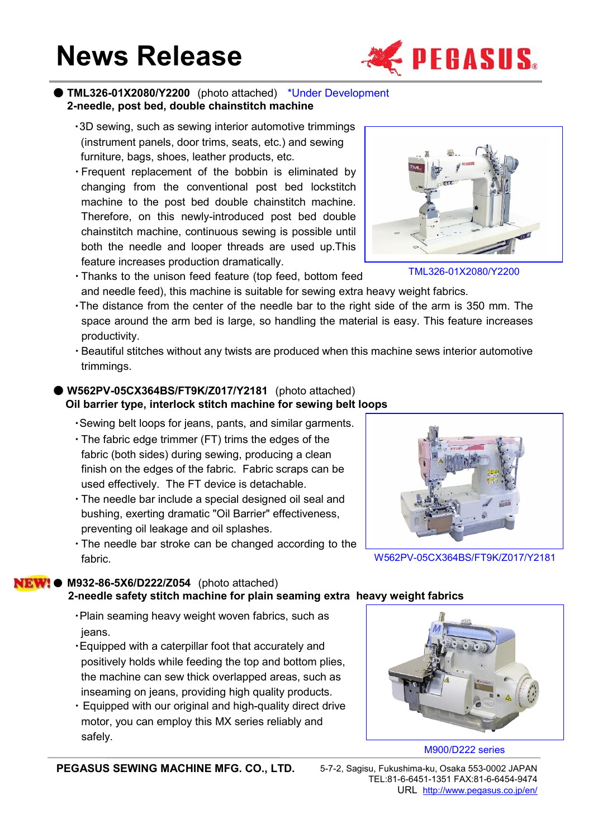# **News Release**



#### ● **TML326-01X2080/Y2200** (photo attached) \*Under Development **2-needle, post bed, double chainstitch machine**

- ・3D sewing, such as sewing interior automotive trimmings (instrument panels, door trims, seats, etc.) and sewing furniture, bags, shoes, leather products, etc.
- ・Frequent replacement of the bobbin is eliminated by changing from the conventional post bed lockstitch machine to the post bed double chainstitch machine. Therefore, on this newly-introduced post bed double chainstitch machine, continuous sewing is possible until both the needle and looper threads are used up.This feature increases production dramatically.



- ・Thanks to the unison feed feature (top feed, bottom feed and needle feed), this machine is suitable for sewing extra heavy weight fabrics.
- ・The distance from the center of the needle bar to the right side of the arm is 350 mm. The space around the arm bed is large, so handling the material is easy. This feature increases productivity.
- ・Beautiful stitches without any twists are produced when this machine sews interior automotive trimmings.

#### ● **W562PV-05CX364BS/FT9K/Z017/Y2181** (photo attached) **Oil barrier type, interlock stitch machine for sewing belt loops**

- ・Sewing belt loops for jeans, pants, and similar garments.
- ・The fabric edge trimmer (FT) trims the edges of the fabric (both sides) during sewing, producing a clean finish on the edges of the fabric. Fabric scraps can be used effectively. The FT device is detachable.
- ・The needle bar include a special designed oil seal and bushing, exerting dramatic "Oil Barrier" effectiveness, preventing oil leakage and oil splashes.
- ・The needle bar stroke can be changed according to the fabric.

W562PV-05CX364BS/FT9K/Z017/Y2181

#### ● **M932-86-5X6/D222/Z054** (photo attached) **2-needle safety stitch machine for plain seaming extra heavy weight fabrics**

- ・Plain seaming heavy weight woven fabrics, such as jeans.
- ・Equipped with a caterpillar foot that accurately and positively holds while feeding the top and bottom plies, the machine can sew thick overlapped areas, such as inseaming on jeans, providing high quality products.
- ・ Equipped with our original and high-quality direct drive motor, you can employ this MX series reliably and safely.



#### M900/D222 series

**PEGASUS SEWING MACHINE MFG. CO., LTD.** 5-7-2, Sagisu, Fukushima-ku, Osaka 553-0002 JAPAN

TEL:81-6-6451-1351 FAX:81-6-6454-9474 URL <http://www.pegasus.co.jp/en/>